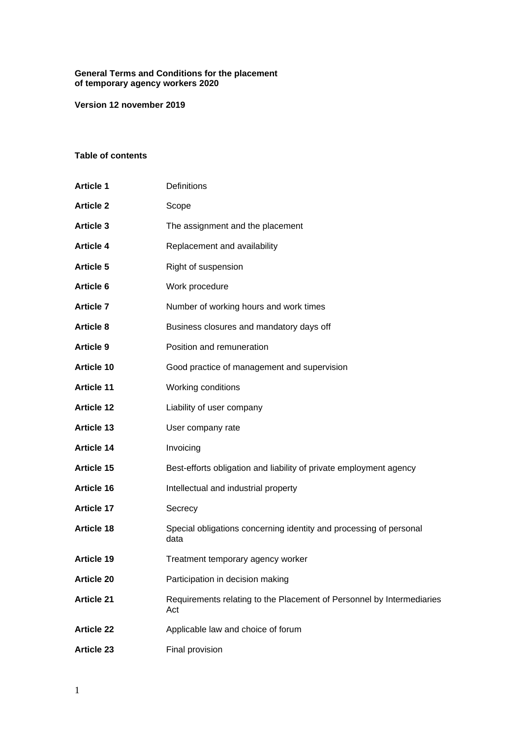#### **General Terms and Conditions for the placement of temporary agency workers 2020**

**Version 12 november 2019**

# **Table of contents**

| <b>Article 1</b>  | Definitions                                                                  |
|-------------------|------------------------------------------------------------------------------|
| <b>Article 2</b>  | Scope                                                                        |
| <b>Article 3</b>  | The assignment and the placement                                             |
| <b>Article 4</b>  | Replacement and availability                                                 |
| <b>Article 5</b>  | Right of suspension                                                          |
| <b>Article 6</b>  | Work procedure                                                               |
| <b>Article 7</b>  | Number of working hours and work times                                       |
| <b>Article 8</b>  | Business closures and mandatory days off                                     |
| <b>Article 9</b>  | Position and remuneration                                                    |
| <b>Article 10</b> | Good practice of management and supervision                                  |
| <b>Article 11</b> | Working conditions                                                           |
| <b>Article 12</b> | Liability of user company                                                    |
| <b>Article 13</b> | User company rate                                                            |
| <b>Article 14</b> | Invoicing                                                                    |
| <b>Article 15</b> | Best-efforts obligation and liability of private employment agency           |
| <b>Article 16</b> | Intellectual and industrial property                                         |
| <b>Article 17</b> | Secrecy                                                                      |
| <b>Article 18</b> | Special obligations concerning identity and processing of personal<br>data   |
| <b>Article 19</b> | Treatment temporary agency worker                                            |
| <b>Article 20</b> | Participation in decision making                                             |
| <b>Article 21</b> | Requirements relating to the Placement of Personnel by Intermediaries<br>Act |
| <b>Article 22</b> | Applicable law and choice of forum                                           |
| <b>Article 23</b> | Final provision                                                              |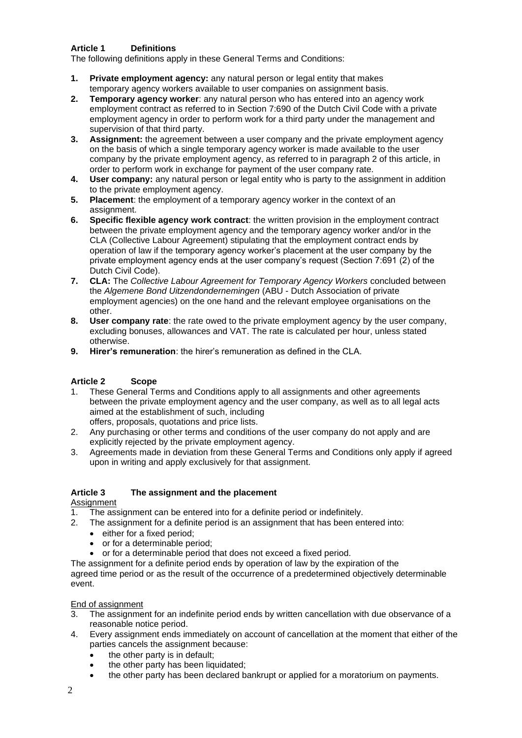## **Article 1 Definitions**

The following definitions apply in these General Terms and Conditions:

- **1. Private employment agency:** any natural person or legal entity that makes temporary agency workers available to user companies on assignment basis.
- **2. Temporary agency worker**: any natural person who has entered into an agency work employment contract as referred to in Section 7:690 of the Dutch Civil Code with a private employment agency in order to perform work for a third party under the management and supervision of that third party.
- **3. Assignment:** the agreement between a user company and the private employment agency on the basis of which a single temporary agency worker is made available to the user company by the private employment agency, as referred to in paragraph 2 of this article, in order to perform work in exchange for payment of the user company rate.
- **4. User company:** any natural person or legal entity who is party to the assignment in addition to the private employment agency.
- **5. Placement**: the employment of a temporary agency worker in the context of an assignment.
- **6. Specific flexible agency work contract**: the written provision in the employment contract between the private employment agency and the temporary agency worker and/or in the CLA (Collective Labour Agreement) stipulating that the employment contract ends by operation of law if the temporary agency worker's placement at the user company by the private employment agency ends at the user company's request (Section 7:691 (2) of the Dutch Civil Code).
- **7. CLA:** The *Collective Labour Agreement for Temporary Agency Workers* concluded between the *Algemene Bond Uitzendondernemingen* (ABU - Dutch Association of private employment agencies) on the one hand and the relevant employee organisations on the other.
- **8. User company rate**: the rate owed to the private employment agency by the user company, excluding bonuses, allowances and VAT. The rate is calculated per hour, unless stated otherwise.
- **9. Hirer's remuneration**: the hirer's remuneration as defined in the CLA.

# **Article 2 Scope**

- 1. These General Terms and Conditions apply to all assignments and other agreements between the private employment agency and the user company, as well as to all legal acts aimed at the establishment of such, including offers, proposals, quotations and price lists.
- 2. Any purchasing or other terms and conditions of the user company do not apply and are explicitly rejected by the private employment agency.
- 3. Agreements made in deviation from these General Terms and Conditions only apply if agreed upon in writing and apply exclusively for that assignment.

#### **Article 3 The assignment and the placement Assignment**

- 1. The assignment can be entered into for a definite period or indefinitely.
- 2. The assignment for a definite period is an assignment that has been entered into:
	- either for a fixed period:
	- or for a determinable period:
	- or for a determinable period that does not exceed a fixed period.

The assignment for a definite period ends by operation of law by the expiration of the agreed time period or as the result of the occurrence of a predetermined objectively determinable event.

### End of assignment

- 3. The assignment for an indefinite period ends by written cancellation with due observance of a reasonable notice period.
- 4. Every assignment ends immediately on account of cancellation at the moment that either of the parties cancels the assignment because:
	- the other party is in default:
	- the other party has been liquidated;
	- the other party has been declared bankrupt or applied for a moratorium on payments.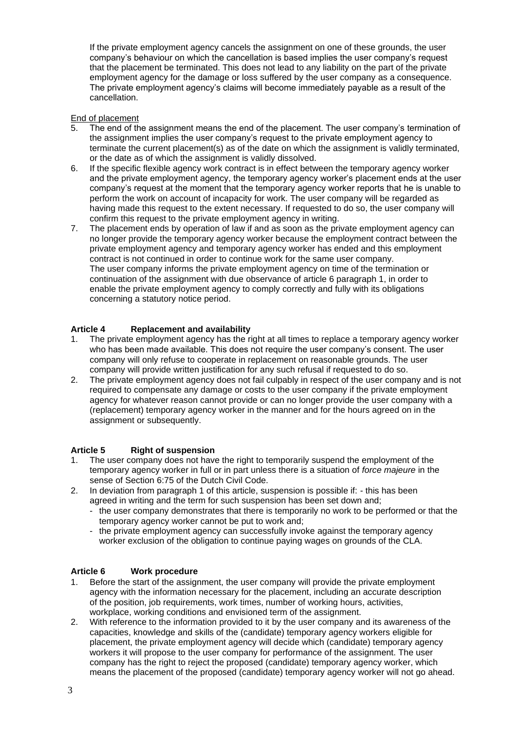If the private employment agency cancels the assignment on one of these grounds, the user company's behaviour on which the cancellation is based implies the user company's request that the placement be terminated. This does not lead to any liability on the part of the private employment agency for the damage or loss suffered by the user company as a consequence. The private employment agency's claims will become immediately payable as a result of the cancellation.

### End of placement

- 5. The end of the assignment means the end of the placement. The user company's termination of the assignment implies the user company's request to the private employment agency to terminate the current placement(s) as of the date on which the assignment is validly terminated, or the date as of which the assignment is validly dissolved.
- 6. If the specific flexible agency work contract is in effect between the temporary agency worker and the private employment agency, the temporary agency worker's placement ends at the user company's request at the moment that the temporary agency worker reports that he is unable to perform the work on account of incapacity for work. The user company will be regarded as having made this request to the extent necessary. If requested to do so, the user company will confirm this request to the private employment agency in writing.
- 7. The placement ends by operation of law if and as soon as the private employment agency can no longer provide the temporary agency worker because the employment contract between the private employment agency and temporary agency worker has ended and this employment contract is not continued in order to continue work for the same user company. The user company informs the private employment agency on time of the termination or continuation of the assignment with due observance of article 6 paragraph 1, in order to enable the private employment agency to comply correctly and fully with its obligations concerning a statutory notice period.

# **Article 4 Replacement and availability**

- 1. The private employment agency has the right at all times to replace a temporary agency worker who has been made available. This does not require the user company's consent. The user company will only refuse to cooperate in replacement on reasonable grounds. The user company will provide written justification for any such refusal if requested to do so.
- 2. The private employment agency does not fail culpably in respect of the user company and is not required to compensate any damage or costs to the user company if the private employment agency for whatever reason cannot provide or can no longer provide the user company with a (replacement) temporary agency worker in the manner and for the hours agreed on in the assignment or subsequently.

### **Article 5 Right of suspension**

- 1. The user company does not have the right to temporarily suspend the employment of the temporary agency worker in full or in part unless there is a situation of *force majeure* in the sense of Section 6:75 of the Dutch Civil Code.
- 2. In deviation from paragraph 1 of this article, suspension is possible if: this has been agreed in writing and the term for such suspension has been set down and;
	- the user company demonstrates that there is temporarily no work to be performed or that the temporary agency worker cannot be put to work and;
	- the private employment agency can successfully invoke against the temporary agency worker exclusion of the obligation to continue paying wages on grounds of the CLA.

### **Article 6 Work procedure**

- 1. Before the start of the assignment, the user company will provide the private employment agency with the information necessary for the placement, including an accurate description of the position, job requirements, work times, number of working hours, activities, workplace, working conditions and envisioned term of the assignment.
- 2. With reference to the information provided to it by the user company and its awareness of the capacities, knowledge and skills of the (candidate) temporary agency workers eligible for placement, the private employment agency will decide which (candidate) temporary agency workers it will propose to the user company for performance of the assignment. The user company has the right to reject the proposed (candidate) temporary agency worker, which means the placement of the proposed (candidate) temporary agency worker will not go ahead.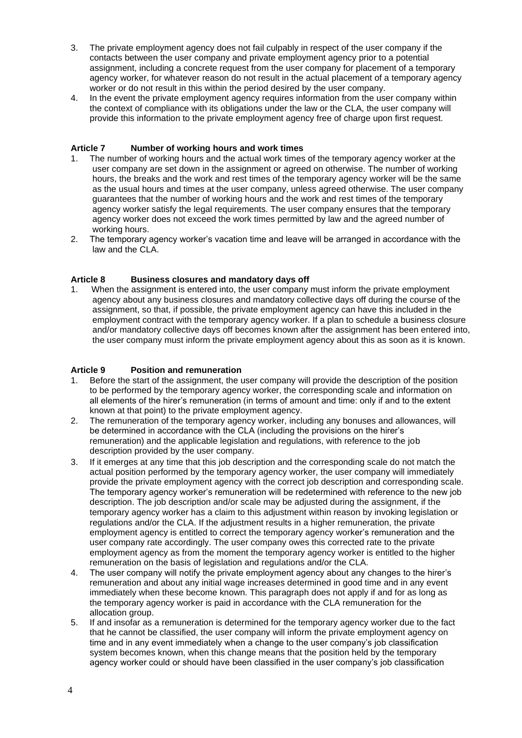- 3. The private employment agency does not fail culpably in respect of the user company if the contacts between the user company and private employment agency prior to a potential assignment, including a concrete request from the user company for placement of a temporary agency worker, for whatever reason do not result in the actual placement of a temporary agency worker or do not result in this within the period desired by the user company.
- 4. In the event the private employment agency requires information from the user company within the context of compliance with its obligations under the law or the CLA, the user company will provide this information to the private employment agency free of charge upon first request.

### **Article 7 Number of working hours and work times**

- 1. The number of working hours and the actual work times of the temporary agency worker at the user company are set down in the assignment or agreed on otherwise. The number of working hours, the breaks and the work and rest times of the temporary agency worker will be the same as the usual hours and times at the user company, unless agreed otherwise. The user company guarantees that the number of working hours and the work and rest times of the temporary agency worker satisfy the legal requirements. The user company ensures that the temporary agency worker does not exceed the work times permitted by law and the agreed number of working hours.
- 2. The temporary agency worker's vacation time and leave will be arranged in accordance with the law and the CLA.

### **Article 8 Business closures and mandatory days off**

1. When the assignment is entered into, the user company must inform the private employment agency about any business closures and mandatory collective days off during the course of the assignment, so that, if possible, the private employment agency can have this included in the employment contract with the temporary agency worker. If a plan to schedule a business closure and/or mandatory collective days off becomes known after the assignment has been entered into, the user company must inform the private employment agency about this as soon as it is known.

### **Article 9 Position and remuneration**

- 1. Before the start of the assignment, the user company will provide the description of the position to be performed by the temporary agency worker, the corresponding scale and information on all elements of the hirer's remuneration (in terms of amount and time: only if and to the extent known at that point) to the private employment agency.
- 2. The remuneration of the temporary agency worker, including any bonuses and allowances, will be determined in accordance with the CLA (including the provisions on the hirer's remuneration) and the applicable legislation and regulations, with reference to the job description provided by the user company.
- 3. If it emerges at any time that this job description and the corresponding scale do not match the actual position performed by the temporary agency worker, the user company will immediately provide the private employment agency with the correct job description and corresponding scale. The temporary agency worker's remuneration will be redetermined with reference to the new job description. The job description and/or scale may be adjusted during the assignment, if the temporary agency worker has a claim to this adjustment within reason by invoking legislation or regulations and/or the CLA. If the adjustment results in a higher remuneration, the private employment agency is entitled to correct the temporary agency worker's remuneration and the user company rate accordingly. The user company owes this corrected rate to the private employment agency as from the moment the temporary agency worker is entitled to the higher remuneration on the basis of legislation and regulations and/or the CLA.
- 4. The user company will notify the private employment agency about any changes to the hirer's remuneration and about any initial wage increases determined in good time and in any event immediately when these become known. This paragraph does not apply if and for as long as the temporary agency worker is paid in accordance with the CLA remuneration for the allocation group.
- 5. If and insofar as a remuneration is determined for the temporary agency worker due to the fact that he cannot be classified, the user company will inform the private employment agency on time and in any event immediately when a change to the user company's job classification system becomes known, when this change means that the position held by the temporary agency worker could or should have been classified in the user company's job classification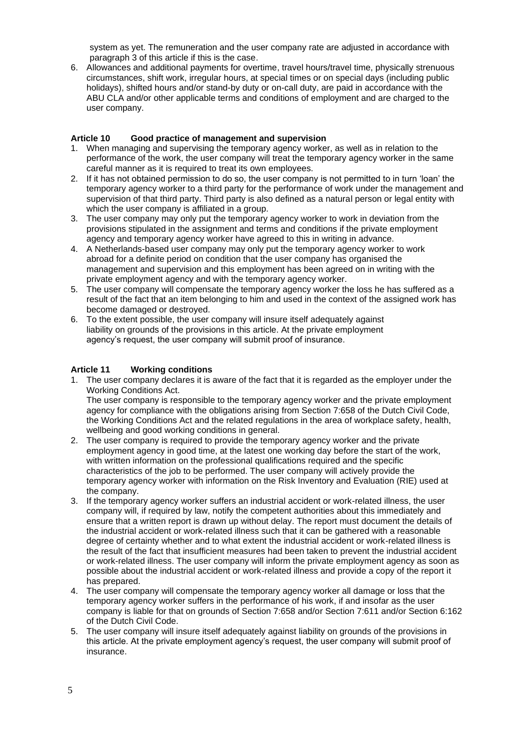system as yet. The remuneration and the user company rate are adjusted in accordance with paragraph 3 of this article if this is the case.

6. Allowances and additional payments for overtime, travel hours/travel time, physically strenuous circumstances, shift work, irregular hours, at special times or on special days (including public holidays), shifted hours and/or stand-by duty or on-call duty, are paid in accordance with the ABU CLA and/or other applicable terms and conditions of employment and are charged to the user company.

### **Article 10 Good practice of management and supervision**

- 1. When managing and supervising the temporary agency worker, as well as in relation to the performance of the work, the user company will treat the temporary agency worker in the same careful manner as it is required to treat its own employees.
- 2. If it has not obtained permission to do so, the user company is not permitted to in turn 'loan' the temporary agency worker to a third party for the performance of work under the management and supervision of that third party. Third party is also defined as a natural person or legal entity with which the user company is affiliated in a group.
- 3. The user company may only put the temporary agency worker to work in deviation from the provisions stipulated in the assignment and terms and conditions if the private employment agency and temporary agency worker have agreed to this in writing in advance.
- 4. A Netherlands-based user company may only put the temporary agency worker to work abroad for a definite period on condition that the user company has organised the management and supervision and this employment has been agreed on in writing with the private employment agency and with the temporary agency worker.
- 5. The user company will compensate the temporary agency worker the loss he has suffered as a result of the fact that an item belonging to him and used in the context of the assigned work has become damaged or destroyed.
- 6. To the extent possible, the user company will insure itself adequately against liability on grounds of the provisions in this article. At the private employment agency's request, the user company will submit proof of insurance.

# **Article 11 Working conditions**

- 1. The user company declares it is aware of the fact that it is regarded as the employer under the Working Conditions Act. The user company is responsible to the temporary agency worker and the private employment agency for compliance with the obligations arising from Section 7:658 of the Dutch Civil Code, the Working Conditions Act and the related regulations in the area of workplace safety, health, wellbeing and good working conditions in general.
- 2. The user company is required to provide the temporary agency worker and the private employment agency in good time, at the latest one working day before the start of the work, with written information on the professional qualifications required and the specific characteristics of the job to be performed. The user company will actively provide the temporary agency worker with information on the Risk Inventory and Evaluation (RIE) used at the company.
- 3. If the temporary agency worker suffers an industrial accident or work-related illness, the user company will, if required by law, notify the competent authorities about this immediately and ensure that a written report is drawn up without delay. The report must document the details of the industrial accident or work-related illness such that it can be gathered with a reasonable degree of certainty whether and to what extent the industrial accident or work-related illness is the result of the fact that insufficient measures had been taken to prevent the industrial accident or work-related illness. The user company will inform the private employment agency as soon as possible about the industrial accident or work-related illness and provide a copy of the report it has prepared.
- 4. The user company will compensate the temporary agency worker all damage or loss that the temporary agency worker suffers in the performance of his work, if and insofar as the user company is liable for that on grounds of Section 7:658 and/or Section 7:611 and/or Section 6:162 of the Dutch Civil Code.
- 5. The user company will insure itself adequately against liability on grounds of the provisions in this article. At the private employment agency's request, the user company will submit proof of insurance.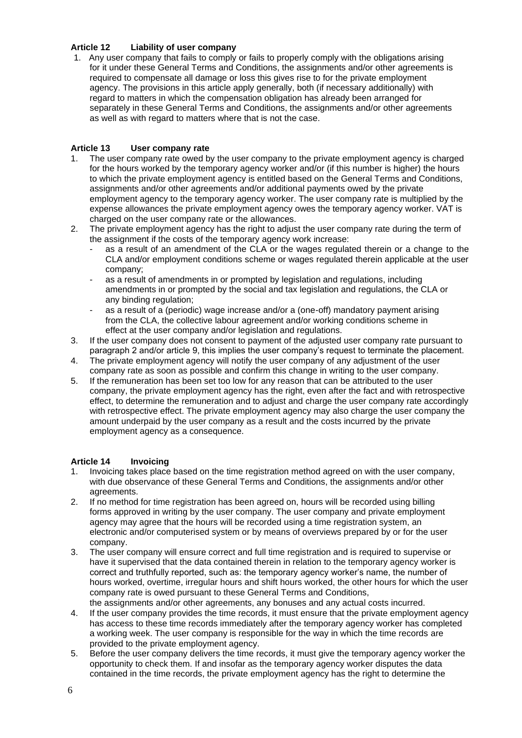### **Article 12 Liability of user company**

1. Any user company that fails to comply or fails to properly comply with the obligations arising for it under these General Terms and Conditions, the assignments and/or other agreements is required to compensate all damage or loss this gives rise to for the private employment agency. The provisions in this article apply generally, both (if necessary additionally) with regard to matters in which the compensation obligation has already been arranged for separately in these General Terms and Conditions, the assignments and/or other agreements as well as with regard to matters where that is not the case.

# **Article 13 User company rate**

- 1. The user company rate owed by the user company to the private employment agency is charged for the hours worked by the temporary agency worker and/or (if this number is higher) the hours to which the private employment agency is entitled based on the General Terms and Conditions, assignments and/or other agreements and/or additional payments owed by the private employment agency to the temporary agency worker. The user company rate is multiplied by the expense allowances the private employment agency owes the temporary agency worker. VAT is charged on the user company rate or the allowances.
- 2. The private employment agency has the right to adjust the user company rate during the term of the assignment if the costs of the temporary agency work increase:
	- as a result of an amendment of the CLA or the wages regulated therein or a change to the CLA and/or employment conditions scheme or wages regulated therein applicable at the user company;
	- as a result of amendments in or prompted by legislation and regulations, including amendments in or prompted by the social and tax legislation and regulations, the CLA or any binding regulation;
	- as a result of a (periodic) wage increase and/or a (one-off) mandatory payment arising from the CLA, the collective labour agreement and/or working conditions scheme in effect at the user company and/or legislation and regulations.
- 3. If the user company does not consent to payment of the adjusted user company rate pursuant to paragraph 2 and/or article 9, this implies the user company's request to terminate the placement.
- 4. The private employment agency will notify the user company of any adjustment of the user company rate as soon as possible and confirm this change in writing to the user company.
- 5. If the remuneration has been set too low for any reason that can be attributed to the user company, the private employment agency has the right, even after the fact and with retrospective effect, to determine the remuneration and to adjust and charge the user company rate accordingly with retrospective effect. The private employment agency may also charge the user company the amount underpaid by the user company as a result and the costs incurred by the private employment agency as a consequence.

### **Article 14 Invoicing**

- 1. Invoicing takes place based on the time registration method agreed on with the user company, with due observance of these General Terms and Conditions, the assignments and/or other agreements.
- 2. If no method for time registration has been agreed on, hours will be recorded using billing forms approved in writing by the user company. The user company and private employment agency may agree that the hours will be recorded using a time registration system, an electronic and/or computerised system or by means of overviews prepared by or for the user company.
- 3. The user company will ensure correct and full time registration and is required to supervise or have it supervised that the data contained therein in relation to the temporary agency worker is correct and truthfully reported, such as: the temporary agency worker's name, the number of hours worked, overtime, irregular hours and shift hours worked, the other hours for which the user company rate is owed pursuant to these General Terms and Conditions, the assignments and/or other agreements, any bonuses and any actual costs incurred.
- 4. If the user company provides the time records, it must ensure that the private employment agency has access to these time records immediately after the temporary agency worker has completed a working week. The user company is responsible for the way in which the time records are provided to the private employment agency.
- 5. Before the user company delivers the time records, it must give the temporary agency worker the opportunity to check them. If and insofar as the temporary agency worker disputes the data contained in the time records, the private employment agency has the right to determine the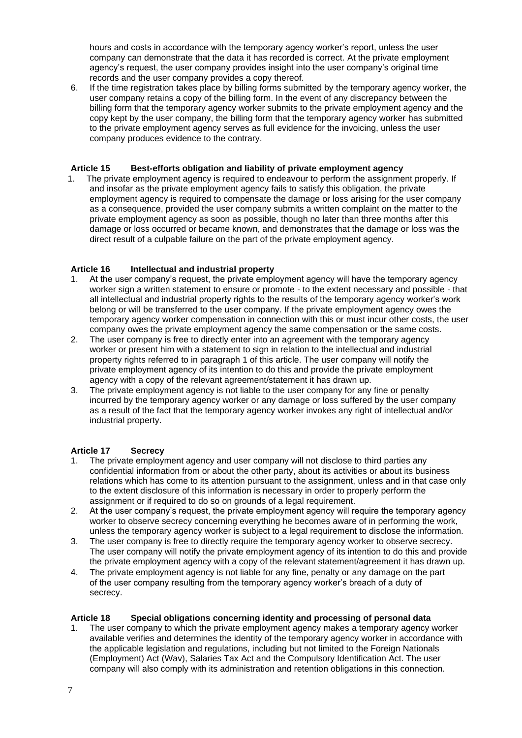hours and costs in accordance with the temporary agency worker's report, unless the user company can demonstrate that the data it has recorded is correct. At the private employment agency's request, the user company provides insight into the user company's original time records and the user company provides a copy thereof.

6. If the time registration takes place by billing forms submitted by the temporary agency worker, the user company retains a copy of the billing form. In the event of any discrepancy between the billing form that the temporary agency worker submits to the private employment agency and the copy kept by the user company, the billing form that the temporary agency worker has submitted to the private employment agency serves as full evidence for the invoicing, unless the user company produces evidence to the contrary.

### **Article 15 Best-efforts obligation and liability of private employment agency**

1. The private employment agency is required to endeavour to perform the assignment properly. If and insofar as the private employment agency fails to satisfy this obligation, the private employment agency is required to compensate the damage or loss arising for the user company as a consequence, provided the user company submits a written complaint on the matter to the private employment agency as soon as possible, though no later than three months after this damage or loss occurred or became known, and demonstrates that the damage or loss was the direct result of a culpable failure on the part of the private employment agency.

### **Article 16 Intellectual and industrial property**

- 1. At the user company's request, the private employment agency will have the temporary agency worker sign a written statement to ensure or promote - to the extent necessary and possible - that all intellectual and industrial property rights to the results of the temporary agency worker's work belong or will be transferred to the user company. If the private employment agency owes the temporary agency worker compensation in connection with this or must incur other costs, the user company owes the private employment agency the same compensation or the same costs.
- 2. The user company is free to directly enter into an agreement with the temporary agency worker or present him with a statement to sign in relation to the intellectual and industrial property rights referred to in paragraph 1 of this article. The user company will notify the private employment agency of its intention to do this and provide the private employment agency with a copy of the relevant agreement/statement it has drawn up.
- 3. The private employment agency is not liable to the user company for any fine or penalty incurred by the temporary agency worker or any damage or loss suffered by the user company as a result of the fact that the temporary agency worker invokes any right of intellectual and/or industrial property.

# **Article 17 Secrecy**

- 1. The private employment agency and user company will not disclose to third parties any confidential information from or about the other party, about its activities or about its business relations which has come to its attention pursuant to the assignment, unless and in that case only to the extent disclosure of this information is necessary in order to properly perform the assignment or if required to do so on grounds of a legal requirement.
- 2. At the user company's request, the private employment agency will require the temporary agency worker to observe secrecy concerning everything he becomes aware of in performing the work, unless the temporary agency worker is subject to a legal requirement to disclose the information.
- 3. The user company is free to directly require the temporary agency worker to observe secrecy. The user company will notify the private employment agency of its intention to do this and provide the private employment agency with a copy of the relevant statement/agreement it has drawn up.
- 4. The private employment agency is not liable for any fine, penalty or any damage on the part of the user company resulting from the temporary agency worker's breach of a duty of secrecy.

### **Article 18 Special obligations concerning identity and processing of personal data**

1. The user company to which the private employment agency makes a temporary agency worker available verifies and determines the identity of the temporary agency worker in accordance with the applicable legislation and regulations, including but not limited to the Foreign Nationals (Employment) Act (Wav), Salaries Tax Act and the Compulsory Identification Act. The user company will also comply with its administration and retention obligations in this connection.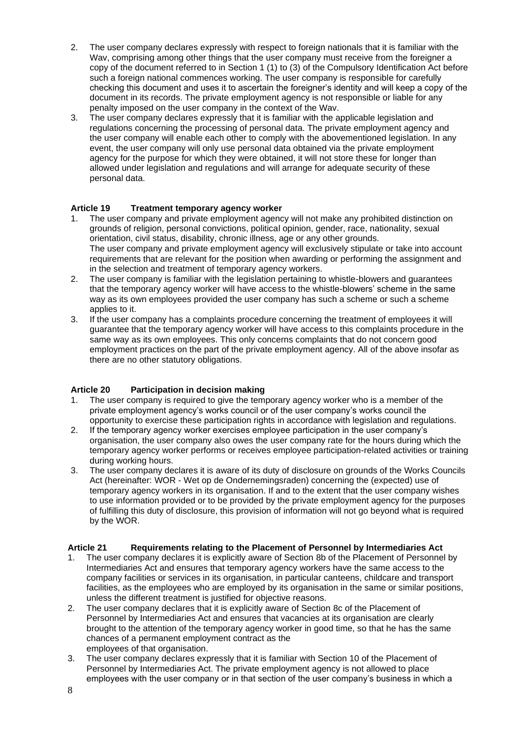- 2. The user company declares expressly with respect to foreign nationals that it is familiar with the Wav, comprising among other things that the user company must receive from the foreigner a copy of the document referred to in Section 1 (1) to (3) of the Compulsory Identification Act before such a foreign national commences working. The user company is responsible for carefully checking this document and uses it to ascertain the foreigner's identity and will keep a copy of the document in its records. The private employment agency is not responsible or liable for any penalty imposed on the user company in the context of the Wav.
- 3. The user company declares expressly that it is familiar with the applicable legislation and regulations concerning the processing of personal data. The private employment agency and the user company will enable each other to comply with the abovementioned legislation. In any event, the user company will only use personal data obtained via the private employment agency for the purpose for which they were obtained, it will not store these for longer than allowed under legislation and regulations and will arrange for adequate security of these personal data.

# **Article 19 Treatment temporary agency worker**

- 1. The user company and private employment agency will not make any prohibited distinction on grounds of religion, personal convictions, political opinion, gender, race, nationality, sexual orientation, civil status, disability, chronic illness, age or any other grounds. The user company and private employment agency will exclusively stipulate or take into account requirements that are relevant for the position when awarding or performing the assignment and in the selection and treatment of temporary agency workers.
- 2. The user company is familiar with the legislation pertaining to whistle-blowers and guarantees that the temporary agency worker will have access to the whistle-blowers' scheme in the same way as its own employees provided the user company has such a scheme or such a scheme applies to it.
- 3. If the user company has a complaints procedure concerning the treatment of employees it will guarantee that the temporary agency worker will have access to this complaints procedure in the same way as its own employees. This only concerns complaints that do not concern good employment practices on the part of the private employment agency. All of the above insofar as there are no other statutory obligations.

### **Article 20 Participation in decision making**

- 1. The user company is required to give the temporary agency worker who is a member of the private employment agency's works council or of the user company's works council the opportunity to exercise these participation rights in accordance with legislation and regulations.
- 2. If the temporary agency worker exercises employee participation in the user company's organisation, the user company also owes the user company rate for the hours during which the temporary agency worker performs or receives employee participation-related activities or training during working hours.
- 3. The user company declares it is aware of its duty of disclosure on grounds of the Works Councils Act (hereinafter: WOR - Wet op de Ondernemingsraden) concerning the (expected) use of temporary agency workers in its organisation. If and to the extent that the user company wishes to use information provided or to be provided by the private employment agency for the purposes of fulfilling this duty of disclosure, this provision of information will not go beyond what is required by the WOR.

### **Article 21 Requirements relating to the Placement of Personnel by Intermediaries Act**

- 1. The user company declares it is explicitly aware of Section 8b of the Placement of Personnel by Intermediaries Act and ensures that temporary agency workers have the same access to the company facilities or services in its organisation, in particular canteens, childcare and transport facilities, as the employees who are employed by its organisation in the same or similar positions, unless the different treatment is justified for objective reasons.
- 2. The user company declares that it is explicitly aware of Section 8c of the Placement of Personnel by Intermediaries Act and ensures that vacancies at its organisation are clearly brought to the attention of the temporary agency worker in good time, so that he has the same chances of a permanent employment contract as the employees of that organisation.
- 3. The user company declares expressly that it is familiar with Section 10 of the Placement of Personnel by Intermediaries Act. The private employment agency is not allowed to place employees with the user company or in that section of the user company's business in which a